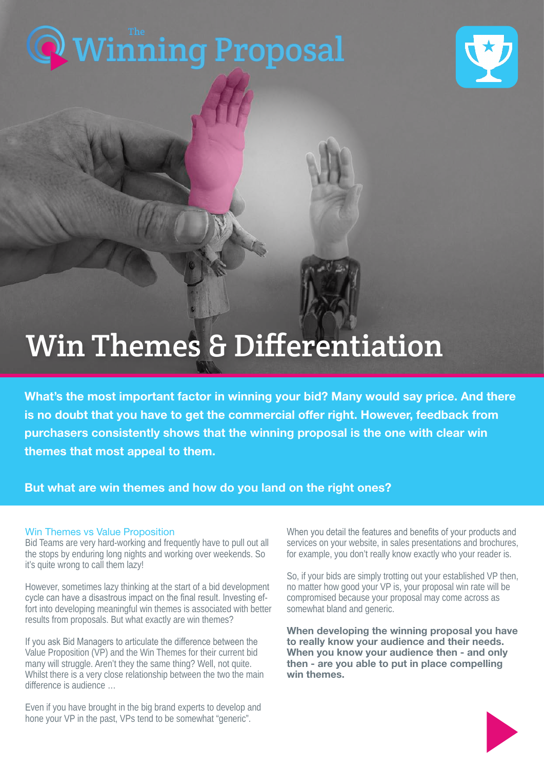

# Win Themes & Differentiation

What's the most important factor in winning your bid? Many would say price. And there is no doubt that you have to get the commercial offer right. However, feedback from purchasers consistently shows that the winning proposal is the one with clear win themes that most appeal to them.

### But what are win themes and how do you land on the right ones?

#### Win Themes vs Value Proposition

Bid Teams are very hard-working and frequently have to pull out all the stops by enduring long nights and working over weekends. So it's quite wrong to call them lazy!

However, sometimes lazy thinking at the start of a bid development cycle can have a disastrous impact on the final result. Investing effort into developing meaningful win themes is associated with better results from proposals. But what exactly are win themes?

If you ask Bid Managers to articulate the difference between the Value Proposition (VP) and the Win Themes for their current bid many will struggle. Aren't they the same thing? Well, not quite. Whilst there is a very close relationship between the two the main difference is audience …

Even if you have brought in the big brand experts to develop and hone your VP in the past, VPs tend to be somewhat "generic".

When you detail the features and benefits of your products and services on your website, in sales presentations and brochures, for example, you don't really know exactly who your reader is.

So, if your bids are simply trotting out your established VP then, no matter how good your VP is, your proposal win rate will be compromised because your proposal may come across as somewhat bland and generic.

When developing the winning proposal you have to really know your audience and their needs. When you know your audience then - and only then - are you able to put in place compelling win themes.

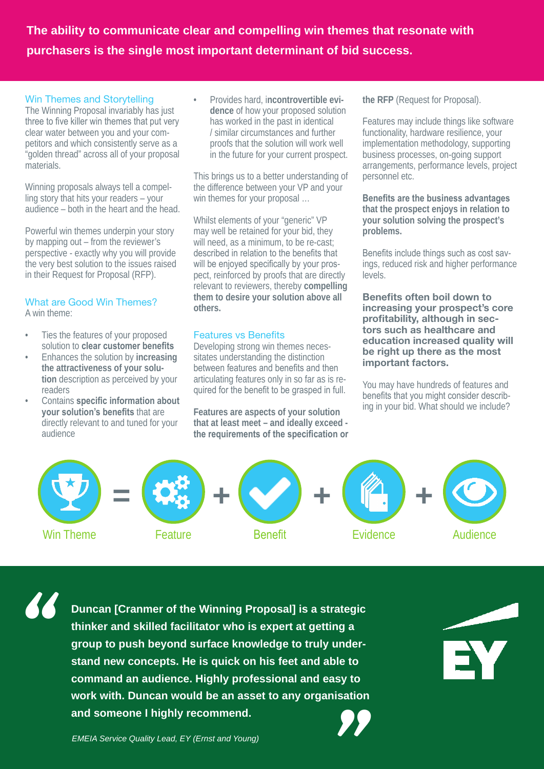**The ability to communicate clear and compelling win themes that resonate with purchasers is the single most important determinant of bid success.**

#### Win Themes and Storytelling

The Winning Proposal invariably has just three to five killer win themes that put very clear water between you and your competitors and which consistently serve as a "golden thread" across all of your proposal materials.

Winning proposals always tell a compelling story that hits your readers – your audience – both in the heart and the head.

Powerful win themes underpin your story by mapping out – from the reviewer's perspective - exactly why you will provide the very best solution to the issues raised in their Request for Proposal (RFP).

#### What are Good Win Themes? A win theme:

- 
- Ties the features of your proposed solution to **clear customer benefits**
- Enhances the solution by **increasing the attractiveness of your solution** description as perceived by your readers
- Contains **specific information about your solution's benefits** that are directly relevant to and tuned for your audience

• Provides hard, i**ncontrovertible evidence** of how your proposed solution has worked in the past in identical / similar circumstances and further proofs that the solution will work well in the future for your current prospect.

This brings us to a better understanding of the difference between your VP and your win themes for your proposal …

Whilst elements of your "generic" VP may well be retained for your bid, they will need, as a minimum, to be re-cast; described in relation to the benefits that will be enjoyed specifically by your prospect, reinforced by proofs that are directly relevant to reviewers, thereby **compelling them to desire your solution above all others.**

#### Features vs Benefits

Developing strong win themes necessitates understanding the distinction between features and benefits and then articulating features only in so far as is required for the benefit to be grasped in full.

**Features are aspects of your solution that at least meet – and ideally exceed the requirements of the specification or**  **the RFP** (Request for Proposal).

Features may include things like software functionality, hardware resilience, your implementation methodology, supporting business processes, on-going support arrangements, performance levels, project personnel etc.

**Benefits are the business advantages that the prospect enjoys in relation to your solution solving the prospect's problems.**

Benefits include things such as cost savings, reduced risk and higher performance levels.

Benefits often boil down to increasing your prospect's core profitability, although in sectors such as healthcare and education increased quality will be right up there as the most important factors.

You may have hundreds of features and benefits that you might consider describing in your bid. What should we include?



*"*

*Strategy and Marketing Director* **command an audience. Highly professional and easy to Duncan [Cranmer of the Winning Proposal] is a strategic thinker and skilled facilitator who is expert at getting a group to push beyond surface knowledge to truly understand new concepts. He is quick on his feet and able to work with. Duncan would be an asset to any organisation and someone I highly recommend. EXAMP THE IS QUATE: SAMPT AT A SERVIT SERVIE SERVIT COMMAND AN AUDIOR COMMAND AN AUTHORY OF SERVICE AND NOTELLA Service Quality Lead, EY (Ernst and Young)<br>
<b>EMEIA Service Quality Lead, EY (Ernst and Young)** 



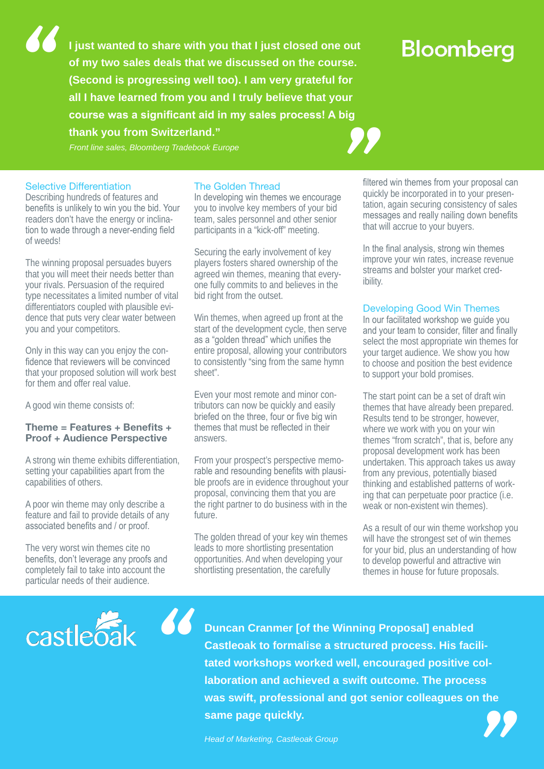**I just wanted to share with you that I just closed one out of my two sales deals that we discussed on the course. (Second is progressing well too). I am very grateful for all I have learned from you and I truly believe that your course was a significant aid in my sales process! A big thank you from Switzerland." (Second is progressing well too). I am very grateful for<br>all I have learned from you and I truly believe that your<br>course was a significant aid in my sales process! A big<br>thank you from Switzerland."<br>Front line sales, Blo** 

## **Bloomberg**

#### Selective Differentiation

*"*

Describing hundreds of features and benefits is unlikely to win you the bid. Your readers don't have the energy or inclination to wade through a never-ending field of weeds!

The winning proposal persuades buyers that you will meet their needs better than your rivals. Persuasion of the required type necessitates a limited number of vital differentiators coupled with plausible evidence that puts very clear water between you and your competitors.

Only in this way can you enjoy the confidence that reviewers will be convinced that your proposed solution will work best for them and offer real value.

A good win theme consists of:

#### Theme = Features + Benefits + Proof + Audience Perspective

A strong win theme exhibits differentiation, setting your capabilities apart from the capabilities of others.

A poor win theme may only describe a feature and fail to provide details of any associated benefits and / or proof.

The very worst win themes cite no benefits, don't leverage any proofs and completely fail to take into account the particular needs of their audience.

*"*

#### The Golden Thread

In developing win themes we encourage you to involve key members of your bid team, sales personnel and other senior participants in a "kick-off" meeting.

Securing the early involvement of key players fosters shared ownership of the agreed win themes, meaning that everyone fully commits to and believes in the bid right from the outset.

Win themes, when agreed up front at the start of the development cycle, then serve as a "golden thread" which unifies the entire proposal, allowing your contributors to consistently "sing from the same hymn sheet".

Even your most remote and minor contributors can now be quickly and easily briefed on the three, four or five big win themes that must be reflected in their answers.

From your prospect's perspective memorable and resounding benefits with plausible proofs are in evidence throughout your proposal, convincing them that you are the right partner to do business with in the future.

The golden thread of your key win themes leads to more shortlisting presentation opportunities. And when developing your shortlisting presentation, the carefully

filtered win themes from your proposal can quickly be incorporated in to your presentation, again securing consistency of sales messages and really nailing down benefits that will accrue to your buyers.

In the final analysis, strong win themes improve your win rates, increase revenue streams and bolster your market credibility.

#### Developing Good Win Themes

In our facilitated workshop we guide you and your team to consider, filter and finally select the most appropriate win themes for your target audience. We show you how to choose and position the best evidence to support your bold promises.

The start point can be a set of draft win themes that have already been prepared. Results tend to be stronger, however, where we work with you on your win themes "from scratch", that is, before any proposal development work has been undertaken. This approach takes us away from any previous, potentially biased thinking and established patterns of working that can perpetuate poor practice (i.e. weak or non-existent win themes).

As a result of our win theme workshop you will have the strongest set of win themes for your bid, plus an understanding of how to develop powerful and attractive win themes in house for future proposals.

castleoak

**Duncan Cranmer [of the Winning Proposal] enabled Castleoak to formalise a structured process. His facilitated workshops worked well, encouraged positive collaboration and achieved a swift outcome. The process was swift, professional and got senior colleagues on the same page quickly. Example 12 and School School School School School School School School School School School School School School School School School School School School School School School Head of Marketing, Castleoak Group<br>Head of Ma**